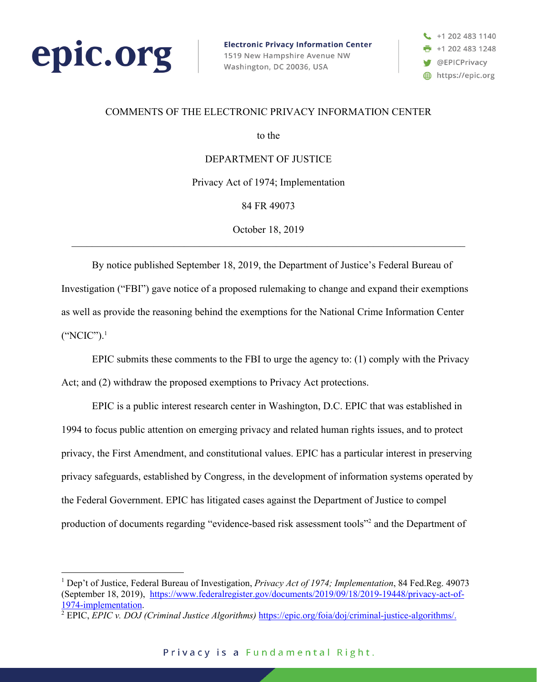



### COMMENTS OF THE ELECTRONIC PRIVACY INFORMATION CENTER

to the

DEPARTMENT OF JUSTICE

Privacy Act of 1974; Implementation

84 FR 49073

October 18, 2019

By notice published September 18, 2019, the Department of Justice's Federal Bureau of Investigation ("FBI") gave notice of a proposed rulemaking to change and expand their exemptions as well as provide the reasoning behind the exemptions for the National Crime Information Center ("NCIC"). 1

EPIC submits these comments to the FBI to urge the agency to: (1) comply with the Privacy Act; and (2) withdraw the proposed exemptions to Privacy Act protections.

EPIC is a public interest research center in Washington, D.C. EPIC that was established in 1994 to focus public attention on emerging privacy and related human rights issues, and to protect privacy, the First Amendment, and constitutional values. EPIC has a particular interest in preserving privacy safeguards, established by Congress, in the development of information systems operated by the Federal Government. EPIC has litigated cases against the Department of Justice to compel production of documents regarding "evidence-based risk assessment tools"2 and the Department of

<sup>1</sup> Dep't of Justice, Federal Bureau of Investigation, *Privacy Act of 1974; Implementation*, 84 Fed.Reg. 49073 (September 18, 2019), https://www.federalregister.gov/documents/2019/09/18/2019-19448/privacy-act-of-1974-implementation. 2 EPIC, *EPIC v. DOJ (Criminal Justice Algorithms)* https://epic.org/foia/doj/criminal-justice-algorithms/.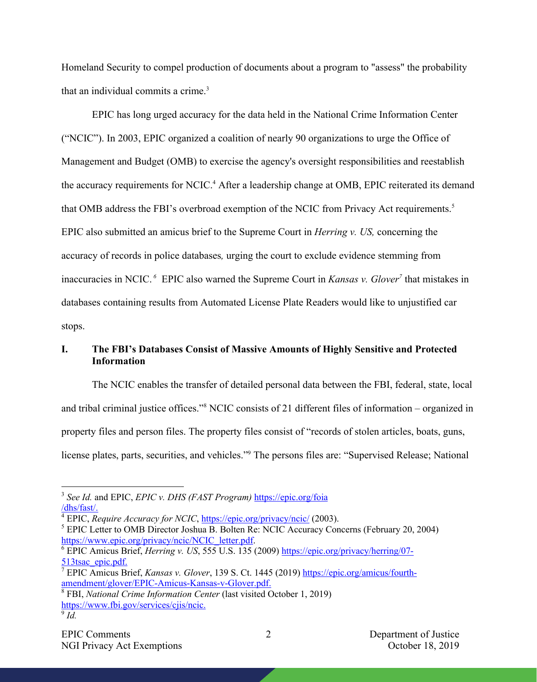Homeland Security to compel production of documents about a program to "assess" the probability that an individual commits a crime.3

EPIC has long urged accuracy for the data held in the National Crime Information Center ("NCIC"). In 2003, EPIC organized a coalition of nearly 90 organizations to urge the Office of Management and Budget (OMB) to exercise the agency's oversight responsibilities and reestablish the accuracy requirements for NCIC.<sup>4</sup> After a leadership change at OMB, EPIC reiterated its demand that OMB address the FBI's overbroad exemption of the NCIC from Privacy Act requirements.<sup>5</sup> EPIC also submitted an amicus brief to the Supreme Court in *Herring v. US,* concerning the accuracy of records in police databases*,* urging the court to exclude evidence stemming from inaccuracies in NCIC. *<sup>6</sup>* EPIC also warned the Supreme Court in *Kansas v. Glover7* that mistakes in databases containing results from Automated License Plate Readers would like to unjustified car stops.

# **I. The FBI's Databases Consist of Massive Amounts of Highly Sensitive and Protected Information**

The NCIC enables the transfer of detailed personal data between the FBI, federal, state, local and tribal criminal justice offices."8 NCIC consists of 21 different files of information – organized in property files and person files. The property files consist of "records of stolen articles, boats, guns, license plates, parts, securities, and vehicles."9 The persons files are: "Supervised Release; National

<sup>3</sup> *See Id.* and EPIC, *EPIC v. DHS (FAST Program)* https://epic.org/foia /dhs/fast/. 4 EPIC, *Require Accuracy for NCIC*, https://epic.org/privacy/ncic/ (2003).

<sup>5</sup> EPIC Letter to OMB Director Joshua B. Bolten Re: NCIC Accuracy Concerns (February 20, 2004) https://www.epic.org/privacy/ncic/NCIC\_letter.pdf.

<sup>&</sup>lt;sup>6</sup> EPIC Amicus Brief, *Herring v. US*, 555 U.S. 135 (2009) https://epic.org/privacy/herring/07-513tsac\_epic.pdf.

<sup>7</sup> EPIC Amicus Brief, *Kansas v. Glover*, 139 S. Ct. 1445 (2019) https://epic.org/amicus/fourthamendment/glover/EPIC-Amicus-Kansas-v-Glover.pdf.

<sup>8</sup> FBI, *National Crime Information Center* (last visited October 1, 2019) https://www.fbi.gov/services/cjis/ncic.  $\overline{9}$  *Id.*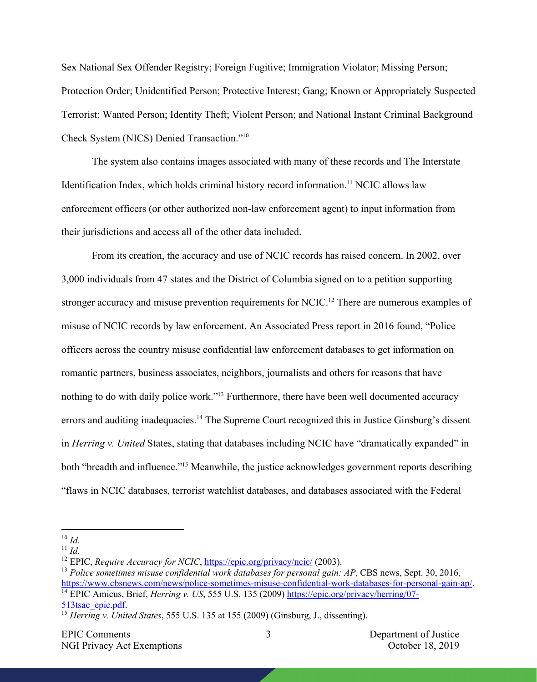Sex National Sex Offender Registry; Foreign Fugitive; Immigration Violator; Missing Person; Protection Order; Unidentified Person; Protective Interest; Gang; Known or Appropriately Suspected Terrorist; Wanted Person; Identity Theft; Violent Person; and National Instant Criminal Background Check System (NICS) Denied Transaction."10

The system also contains images associated with many of these records and The Interstate Identification Index, which holds criminal history record information.<sup>11</sup> NCIC allows law enforcement officers (or other authorized non-law enforcement agent) to input information from their jurisdictions and access all of the other data included.

From its creation, the accuracy and use of NCIC records has raised concern. In 2002, over 3,000 individuals from 47 states and the District of Columbia signed on to a petition supporting stronger accuracy and misuse prevention requirements for NCIC.<sup>12</sup> There are numerous examples of misuse of NCIC records by law enforcement. An Associated Press report in 2016 found, "Police officers across the country misuse confidential law enforcement databases to get information on romantic partners, business associates, neighbors, journalists and others for reasons that have nothing to do with daily police work."<sup>13</sup> Furthermore, there have been well documented accuracy errors and auditing inadequacies.<sup>14</sup> The Supreme Court recognized this in Justice Ginsburg's dissent in *Herring v. United* States, stating that databases including NCIC have "dramatically expanded" in both "breadth and influence."<sup>15</sup> Meanwhile, the justice acknowledges government reports describing "flaws in NCIC databases, terrorist watchlist databases, and databases associated with the Federal

<sup>&</sup>lt;sup>10</sup> *Id.* 11<br><sup>11</sup> *Id.* 12 EPIC, *Require Accuracy for NCIC*, https://epic.org/privacy/ncic/ (2003).

<sup>&</sup>lt;sup>13</sup> Police sometimes misuse confidential work databases for personal gain: AP, CBS news, Sept. 30, 2016, https://www.cbsnews.com/news/police-sometimes-misuse-confidential-work-databases-for-personal-gain-ap/. <sup>14</sup> EPIC Amicus, Brief, *Herring v. US*, 555 U.S. 135 (2009) https://epic.org/privacy/herring/07-513tsac\_epic.pdf.

<sup>15</sup> *Herring v. United States*, 555 U.S. 135 at 155 (2009) (Ginsburg, J., dissenting).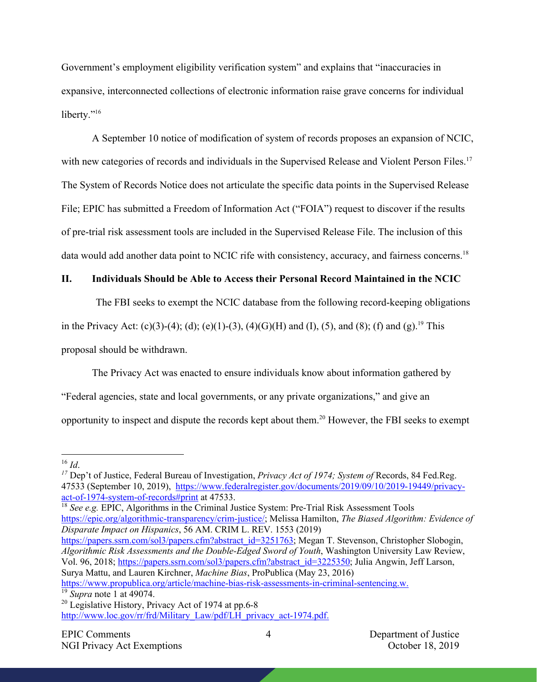Government's employment eligibility verification system" and explains that "inaccuracies in expansive, interconnected collections of electronic information raise grave concerns for individual liberty."<sup>16</sup>

A September 10 notice of modification of system of records proposes an expansion of NCIC, with new categories of records and individuals in the Supervised Release and Violent Person Files.<sup>17</sup> The System of Records Notice does not articulate the specific data points in the Supervised Release File; EPIC has submitted a Freedom of Information Act ("FOIA") request to discover if the results of pre-trial risk assessment tools are included in the Supervised Release File. The inclusion of this data would add another data point to NCIC rife with consistency, accuracy, and fairness concerns.<sup>18</sup>

## **II. Individuals Should be Able to Access their Personal Record Maintained in the NCIC**

The FBI seeks to exempt the NCIC database from the following record-keeping obligations

in the Privacy Act: (c)(3)-(4); (d); (e)(1)-(3), (4)(G)(H) and (I), (5), and (8); (f) and (g).<sup>19</sup> This

proposal should be withdrawn.

The Privacy Act was enacted to ensure individuals know about information gathered by

"Federal agencies, state and local governments, or any private organizations," and give an

opportunity to inspect and dispute the records kept about them.20 However, the FBI seeks to exempt

<sup>18</sup> *See e.g.* EPIC, Algorithms in the Criminal Justice System: Pre-Trial Risk Assessment Tools https://epic.org/algorithmic-transparency/crim-justice/; Melissa Hamilton, *The Biased Algorithm: Evidence of Disparate Impact on Hispanics*, 56 AM. CRIM L. REV. 1553 (2019)

https://www.propublica.org/article/machine-bias-risk-assessments-in-criminal-sentencing.w. <sup>19</sup> *Supra* note 1 at 49074.

<sup>16</sup> *Id*.

*<sup>17</sup>* Dep't of Justice, Federal Bureau of Investigation, *Privacy Act of 1974; System of* Records, 84 Fed.Reg. 47533 (September 10, 2019), https://www.federalregister.gov/documents/2019/09/10/2019-19449/privacyact-of-1974-system-of-records#print at 47533.

https://papers.ssrn.com/sol3/papers.cfm?abstract\_id=3251763; Megan T. Stevenson, Christopher Slobogin, *Algorithmic Risk Assessments and the Double-Edged Sword of Youth*, Washington University Law Review, Vol. 96, 2018; https://papers.ssrn.com/sol3/papers.cfm?abstract\_id=3225350; Julia Angwin, Jeff Larson, Surya Mattu, and Lauren Kirchner, *Machine Bias*, ProPublica (May 23, 2016)

<sup>&</sup>lt;sup>20</sup> Legislative History, Privacy Act of 1974 at pp.6-8 http://www.loc.gov/rr/frd/Military\_Law/pdf/LH\_privacy\_act-1974.pdf.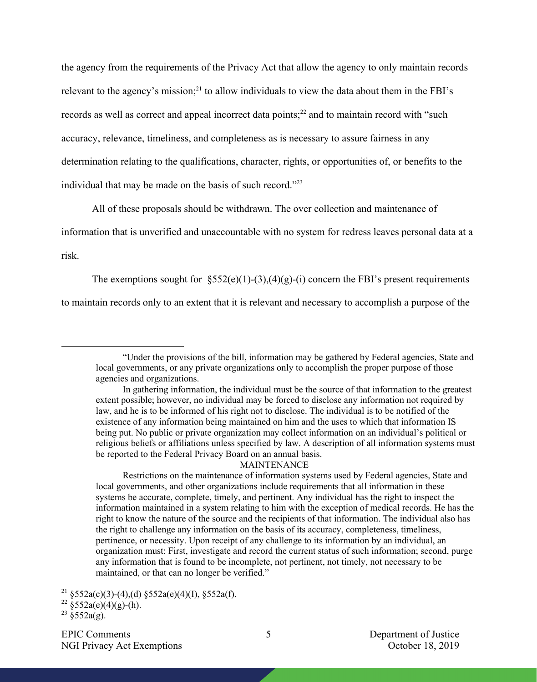the agency from the requirements of the Privacy Act that allow the agency to only maintain records relevant to the agency's mission;<sup>21</sup> to allow individuals to view the data about them in the FBI's records as well as correct and appeal incorrect data points;<sup>22</sup> and to maintain record with "such accuracy, relevance, timeliness, and completeness as is necessary to assure fairness in any determination relating to the qualifications, character, rights, or opportunities of, or benefits to the individual that may be made on the basis of such record."23

All of these proposals should be withdrawn. The over collection and maintenance of

information that is unverified and unaccountable with no system for redress leaves personal data at a

risk.

The exemptions sought for  $\S552(e)(1)-(3),(4)(g)-(i)$  concern the FBI's present requirements to maintain records only to an extent that it is relevant and necessary to accomplish a purpose of the

#### MAINTENANCE

Restrictions on the maintenance of information systems used by Federal agencies, State and local governments, and other organizations include requirements that all information in these systems be accurate, complete, timely, and pertinent. Any individual has the right to inspect the information maintained in a system relating to him with the exception of medical records. He has the right to know the nature of the source and the recipients of that information. The individual also has the right to challenge any information on the basis of its accuracy, completeness, timeliness, pertinence, or necessity. Upon receipt of any challenge to its information by an individual, an organization must: First, investigate and record the current status of such information; second, purge any information that is found to be incomplete, not pertinent, not timely, not necessary to be maintained, or that can no longer be verified."

<sup>&</sup>quot;Under the provisions of the bill, information may be gathered by Federal agencies, State and local governments, or any private organizations only to accomplish the proper purpose of those agencies and organizations.

In gathering information, the individual must be the source of that information to the greatest extent possible; however, no individual may be forced to disclose any information not required by law, and he is to be informed of his right not to disclose. The individual is to be notified of the existence of any information being maintained on him and the uses to which that information IS being put. No public or private organization may collect information on an individual's political or religious beliefs or affiliations unless specified by law. A description of all information systems must be reported to the Federal Privacy Board on an annual basis.

<sup>&</sup>lt;sup>21</sup> §552a(c)(3)-(4),(d) §552a(e)(4)(I), §552a(f).

<sup>&</sup>lt;sup>22</sup> §552a(e)(4)(g)-(h).

 $^{23}$  §552a(g).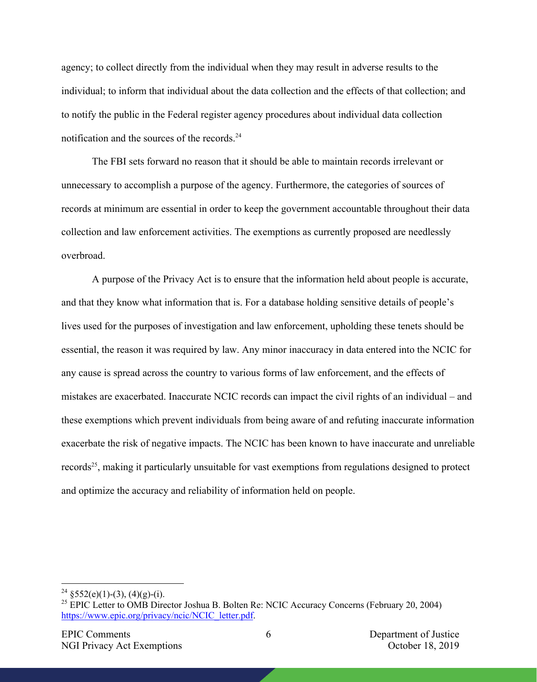agency; to collect directly from the individual when they may result in adverse results to the individual; to inform that individual about the data collection and the effects of that collection; and to notify the public in the Federal register agency procedures about individual data collection notification and the sources of the records.24

The FBI sets forward no reason that it should be able to maintain records irrelevant or unnecessary to accomplish a purpose of the agency. Furthermore, the categories of sources of records at minimum are essential in order to keep the government accountable throughout their data collection and law enforcement activities. The exemptions as currently proposed are needlessly overbroad.

A purpose of the Privacy Act is to ensure that the information held about people is accurate, and that they know what information that is. For a database holding sensitive details of people's lives used for the purposes of investigation and law enforcement, upholding these tenets should be essential, the reason it was required by law. Any minor inaccuracy in data entered into the NCIC for any cause is spread across the country to various forms of law enforcement, and the effects of mistakes are exacerbated. Inaccurate NCIC records can impact the civil rights of an individual – and these exemptions which prevent individuals from being aware of and refuting inaccurate information exacerbate the risk of negative impacts. The NCIC has been known to have inaccurate and unreliable records<sup>25</sup>, making it particularly unsuitable for vast exemptions from regulations designed to protect and optimize the accuracy and reliability of information held on people.

<sup>&</sup>lt;sup>24</sup> §552(e)(1)-(3), (4)(g)-(i).

<sup>&</sup>lt;sup>25</sup> EPIC Letter to OMB Director Joshua B. Bolten Re: NCIC Accuracy Concerns (February 20, 2004) https://www.epic.org/privacy/ncic/NCIC\_letter.pdf.